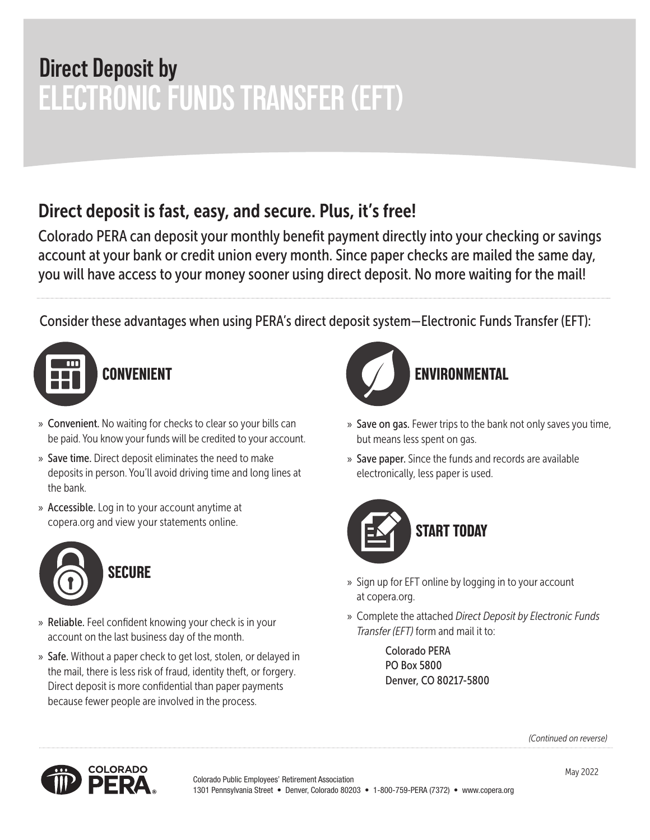# **ELECTRONIC FUNDS TRANSFER (EFT) Direct Deposit by**

# Direct deposit is fast, easy, and secure. Plus, it's free!

Colorado PERA can deposit your monthly benefit payment directly into your checking or savings account at your bank or credit union every month. Since paper checks are mailed the same day, you will have access to your money sooner using direct deposit. No more waiting for the mail!

Consider these advantages when using PERA's direct deposit system—Electronic Funds Transfer (EFT):



- » Convenient. No waiting for checks to clear so your bills can be paid. You know your funds will be credited to your account.
- » Save time. Direct deposit eliminates the need to make deposits in person. You'll avoid driving time and long lines at the bank.
- » Accessible. Log in to your account anytime at copera.org and view your statements online.



- » Reliable. Feel confident knowing your check is in your account on the last business day of the month.
- » Safe. Without a paper check to get lost, stolen, or delayed in the mail, there is less risk of fraud, identity theft, or forgery. Direct deposit is more confidential than paper payments because fewer people are involved in the process.



- » Save on gas. Fewer trips to the bank not only saves you time, but means less spent on gas.
- » Save paper. Since the funds and records are available electronically, less paper is used.



- » Sign up for EFT online by logging in to your account at copera.org.
- » Complete the attached *Direct Deposit by Electronic Funds Transfer (EFT)* form and mail it to:

Colorado PERA PO Box 5800 Denver, CO 80217-5800

*(Continued on reverse)*

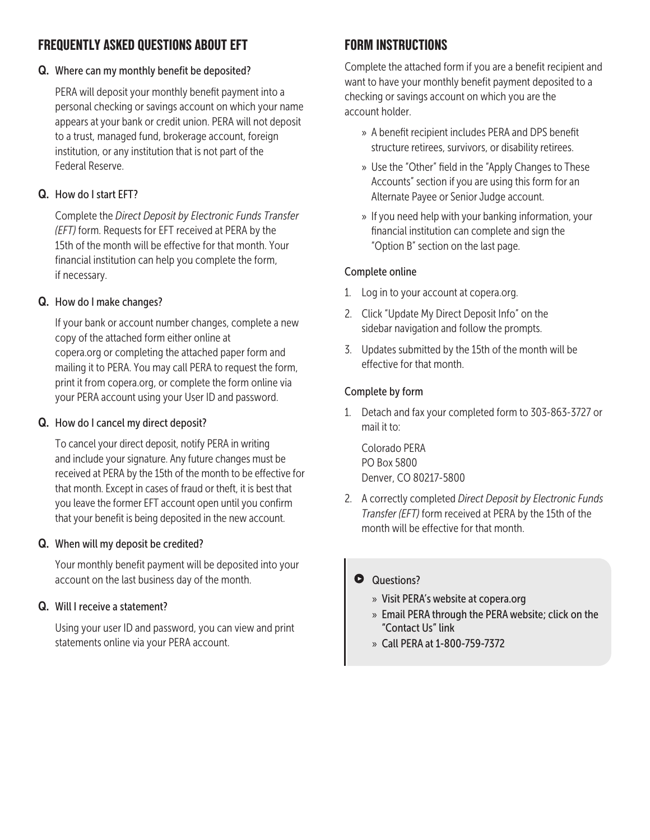### **FREQUENTLY ASKED QUESTIONS ABOUT EFT**

#### Q. Where can my monthly benefit be deposited?

 PERA will deposit your monthly benefit payment into a personal checking or savings account on which your name appears at your bank or credit union. PERA will not deposit to a trust, managed fund, brokerage account, foreign institution, or any institution that is not part of the Federal Reserve.

#### Q. How do I start EFT?

 Complete the *Direct Deposit by Electronic Funds Transfer (EFT)* form. Requests for EFT received at PERA by the 15th of the month will be effective for that month. Your financial institution can help you complete the form, if necessary.

#### Q. How do I make changes?

 If your bank or account number changes, complete a new copy of the attached form either online at copera.org or completing the attached paper form and mailing it to PERA. You may call PERA to request the form, print it from copera.org, or complete the form online via your PERA account using your User ID and password.

#### Q. How do I cancel my direct deposit?

 To cancel your direct deposit, notify PERA in writing and include your signature. Any future changes must be received at PERA by the 15th of the month to be effective for that month. Except in cases of fraud or theft, it is best that you leave the former EFT account open until you confirm that your benefit is being deposited in the new account.

#### Q. When will my deposit be credited?

 Your monthly benefit payment will be deposited into your account on the last business day of the month.

#### Q. Will I receive a statement?

 Using your user ID and password, you can view and print statements online via your PERA account.

## **FORM INSTRUCTIONS**

Complete the attached form if you are a benefit recipient and want to have your monthly benefit payment deposited to a checking or savings account on which you are the account holder.

- » A benefit recipient includes PERA and DPS benefit structure retirees, survivors, or disability retirees.
- » Use the "Other" field in the "Apply Changes to These Accounts" section if you are using this form for an Alternate Payee or Senior Judge account.
- » If you need help with your banking information, your financial institution can complete and sign the "Option B" section on the last page.

#### Complete online

- 1. Log in to your account at copera.org.
- 2. Click "Update My Direct Deposit Info" on the sidebar navigation and follow the prompts.
- 3. Updates submitted by the 15th of the month will be effective for that month.

#### Complete by form

1. Detach and fax your completed form to 303-863-3727 or mail it to:

Colorado PERA PO Box 5800 Denver, CO 80217-5800

2. A correctly completed *Direct Deposit by Electronic Funds Transfer (EFT)* form received at PERA by the 15th of the month will be effective for that month.

#### **Questions?**

- » Visit PERA's website at copera.org
- » Email PERA through the PERA website; click on the "Contact Us" link
- » Call PERA at 1-800-759-7372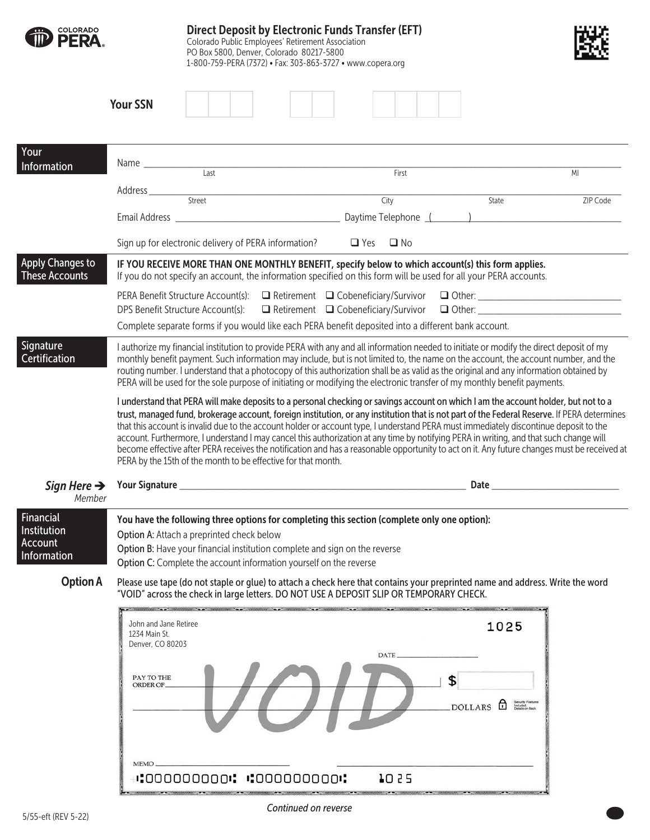| MI                                                                                                                                                                                                                                                                                                                                                                                                                                                                                                                                                                                                                                                                                                                                                                                                                                                                                                                                                                                                                                                                                                                                                                                                                                                                         |
|----------------------------------------------------------------------------------------------------------------------------------------------------------------------------------------------------------------------------------------------------------------------------------------------------------------------------------------------------------------------------------------------------------------------------------------------------------------------------------------------------------------------------------------------------------------------------------------------------------------------------------------------------------------------------------------------------------------------------------------------------------------------------------------------------------------------------------------------------------------------------------------------------------------------------------------------------------------------------------------------------------------------------------------------------------------------------------------------------------------------------------------------------------------------------------------------------------------------------------------------------------------------------|
| ZIP Code                                                                                                                                                                                                                                                                                                                                                                                                                                                                                                                                                                                                                                                                                                                                                                                                                                                                                                                                                                                                                                                                                                                                                                                                                                                                   |
|                                                                                                                                                                                                                                                                                                                                                                                                                                                                                                                                                                                                                                                                                                                                                                                                                                                                                                                                                                                                                                                                                                                                                                                                                                                                            |
|                                                                                                                                                                                                                                                                                                                                                                                                                                                                                                                                                                                                                                                                                                                                                                                                                                                                                                                                                                                                                                                                                                                                                                                                                                                                            |
|                                                                                                                                                                                                                                                                                                                                                                                                                                                                                                                                                                                                                                                                                                                                                                                                                                                                                                                                                                                                                                                                                                                                                                                                                                                                            |
| □ Retirement □ Cobeneficiary/Survivor □ Other: ________________________________<br>□ Retirement □ Cobeneficiary/Survivor □ Other: _________________________________                                                                                                                                                                                                                                                                                                                                                                                                                                                                                                                                                                                                                                                                                                                                                                                                                                                                                                                                                                                                                                                                                                        |
|                                                                                                                                                                                                                                                                                                                                                                                                                                                                                                                                                                                                                                                                                                                                                                                                                                                                                                                                                                                                                                                                                                                                                                                                                                                                            |
| I authorize my financial institution to provide PERA with any and all information needed to initiate or modify the direct deposit of my<br>monthly benefit payment. Such information may include, but is not limited to, the name on the account, the account number, and the<br>routing number. I understand that a photocopy of this authorization shall be as valid as the original and any information obtained by<br>PERA will be used for the sole purpose of initiating or modifying the electronic transfer of my monthly benefit payments.<br>I understand that PERA will make deposits to a personal checking or savings account on which I am the account holder, but not to a<br>trust, managed fund, brokerage account, foreign institution, or any institution that is not part of the Federal Reserve. If PERA determines<br>that this account is invalid due to the account holder or account type, I understand PERA must immediately discontinue deposit to the<br>account. Furthermore, I understand I may cancel this authorization at any time by notifying PERA in writing, and that such change will<br>become effective after PERA receives the notification and has a reasonable opportunity to act on it. Any future changes must be received at |
|                                                                                                                                                                                                                                                                                                                                                                                                                                                                                                                                                                                                                                                                                                                                                                                                                                                                                                                                                                                                                                                                                                                                                                                                                                                                            |
|                                                                                                                                                                                                                                                                                                                                                                                                                                                                                                                                                                                                                                                                                                                                                                                                                                                                                                                                                                                                                                                                                                                                                                                                                                                                            |
| Please use tape (do not staple or glue) to attach a check here that contains your preprinted name and address. Write the word                                                                                                                                                                                                                                                                                                                                                                                                                                                                                                                                                                                                                                                                                                                                                                                                                                                                                                                                                                                                                                                                                                                                              |
|                                                                                                                                                                                                                                                                                                                                                                                                                                                                                                                                                                                                                                                                                                                                                                                                                                                                                                                                                                                                                                                                                                                                                                                                                                                                            |
|                                                                                                                                                                                                                                                                                                                                                                                                                                                                                                                                                                                                                                                                                                                                                                                                                                                                                                                                                                                                                                                                                                                                                                                                                                                                            |

1025

00000000000: 0000000000:

**MEMO**